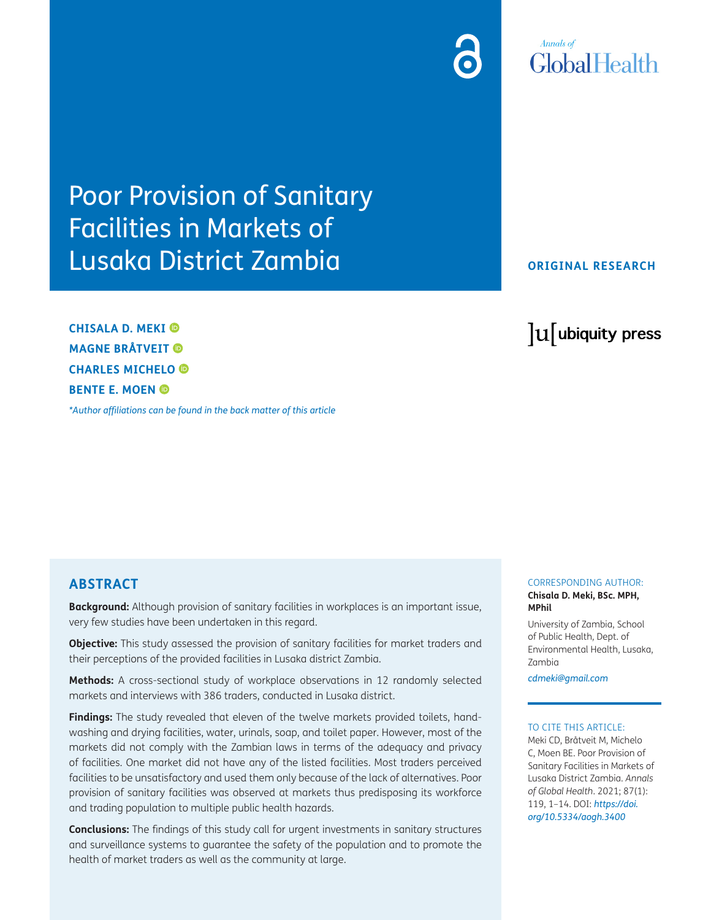# **Annals of** GlobalHealth

# Poor Provision of Sanitary Facilities in Markets of Lusaka District Zambia

**CHISALA D. MEKI MAGNE BRÅTVEIT CHARLES MICHELO BENTE E. MOEN** 

*[\\*Author affiliations can be found in the back matter of this article](#page-11-0)*

# **ORIGINAL RESEARCH**

lu ubiquity press

# **ABSTRACT**

**Background:** Although provision of sanitary facilities in workplaces is an important issue, very few studies have been undertaken in this regard.

**Objective:** This study assessed the provision of sanitary facilities for market traders and their perceptions of the provided facilities in Lusaka district Zambia.

**Methods:** A cross-sectional study of workplace observations in 12 randomly selected markets and interviews with 386 traders, conducted in Lusaka district.

**Findings:** The study revealed that eleven of the twelve markets provided toilets, handwashing and drying facilities, water, urinals, soap, and toilet paper. However, most of the markets did not comply with the Zambian laws in terms of the adequacy and privacy of facilities. One market did not have any of the listed facilities. Most traders perceived facilities to be unsatisfactory and used them only because of the lack of alternatives. Poor provision of sanitary facilities was observed at markets thus predisposing its workforce and trading population to multiple public health hazards.

**Conclusions:** The findings of this study call for urgent investments in sanitary structures and surveillance systems to guarantee the safety of the population and to promote the health of market traders as well as the community at large.

#### CORRESPONDING AUTHOR: **Chisala D. Meki, BSc. MPH, MPhil**

University of Zambia, School of Public Health, Dept. of Environmental Health, Lusaka, Zambia

*[cdmeki@gmail.com](mailto:cdmeki@gmail.com)*

#### TO CITE THIS ARTICLE:

Meki CD, Bråtveit M, Michelo C, Moen BE. Poor Provision of Sanitary Facilities in Markets of Lusaka District Zambia. *Annals of Global Health*. 2021; 87(1): 119, 1–14. DOI: *[https://doi.](https://doi.org/10.5334/aogh.3400) [org/10.5334/aogh.3400](https://doi.org/10.5334/aogh.3400)*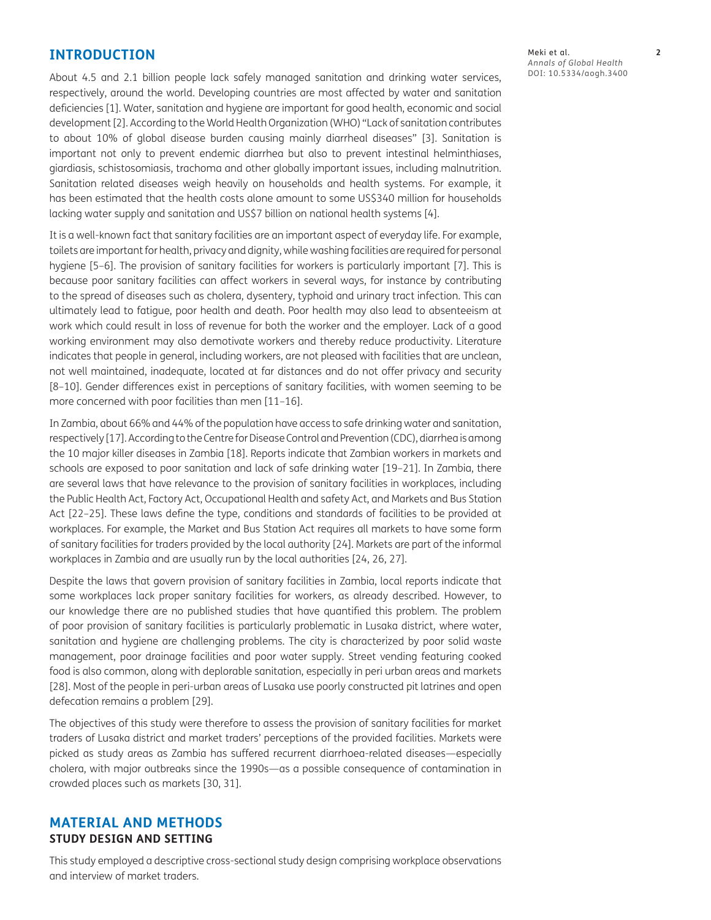# **INTRODUCTION**

About 4.5 and 2.1 billion people lack safely managed sanitation and drinking water services, respectively, around the world. Developing countries are most affected by water and sanitation deficiencies [\[1](#page-11-1)]. Water, sanitation and hygiene are important for good health, economic and social development [\[2](#page-11-1)]. According to the World Health Organization (WHO) "Lack of sanitation contributes to about 10% of global disease burden causing mainly diarrheal diseases" [\[3\]](#page-11-1). Sanitation is important not only to prevent endemic diarrhea but also to prevent intestinal helminthiases, giardiasis, schistosomiasis, trachoma and other globally important issues, including malnutrition. Sanitation related diseases weigh heavily on households and health systems. For example, it has been estimated that the health costs alone amount to some US\$340 million for households lacking water supply and sanitation and US\$7 billion on national health systems [\[4\]](#page-11-1).

It is a well-known fact that sanitary facilities are an important aspect of everyday life. For example, toilets are important for health, privacy and dignity, while washing facilities are required for personal hygiene [\[5](#page-11-1)–[6\]](#page-11-1). The provision of sanitary facilities for workers is particularly important [[7](#page-11-1)]. This is because poor sanitary facilities can affect workers in several ways, for instance by contributing to the spread of diseases such as cholera, dysentery, typhoid and urinary tract infection. This can ultimately lead to fatigue, poor health and death. Poor health may also lead to absenteeism at work which could result in loss of revenue for both the worker and the employer. Lack of a good working environment may also demotivate workers and thereby reduce productivity. Literature indicates that people in general, including workers, are not pleased with facilities that are unclean, not well maintained, inadequate, located at far distances and do not offer privacy and security [\[8–10](#page-12-0)]. Gender differences exist in perceptions of sanitary facilities, with women seeming to be more concerned with poor facilities than men [[11–16\]](#page-12-0).

In Zambia, about 66% and 44% of the population have access to safe drinking water and sanitation, respectively [[17](#page-12-0)]. According to the Centre for Disease Control and Prevention (CDC), diarrhea is among the 10 major killer diseases in Zambia [\[18](#page-12-0)]. Reports indicate that Zambian workers in markets and schools are exposed to poor sanitation and lack of safe drinking water [\[19](#page-12-0)–[21](#page-12-0)]. In Zambia, there are several laws that have relevance to the provision of sanitary facilities in workplaces, including the Public Health Act, Factory Act, Occupational Health and safety Act, and Markets and Bus Station Act [[22](#page-12-0)–[25\]](#page-12-0). These laws define the type, conditions and standards of facilities to be provided at workplaces. For example, the Market and Bus Station Act requires all markets to have some form of sanitary facilities for traders provided by the local authority [\[24\]](#page-12-0). Markets are part of the informal workplaces in Zambia and are usually run by the local authorities [\[24](#page-12-0), [26, 27\]](#page-12-0).

Despite the laws that govern provision of sanitary facilities in Zambia, local reports indicate that some workplaces lack proper sanitary facilities for workers, as already described. However, to our knowledge there are no published studies that have quantified this problem. The problem of poor provision of sanitary facilities is particularly problematic in Lusaka district, where water, sanitation and hygiene are challenging problems. The city is characterized by poor solid waste management, poor drainage facilities and poor water supply. Street vending featuring cooked food is also common, along with deplorable sanitation, especially in peri urban areas and markets [\[28\]](#page-12-0). Most of the people in peri-urban areas of Lusaka use poorly constructed pit latrines and open defecation remains a problem [\[29\]](#page-13-0).

The objectives of this study were therefore to assess the provision of sanitary facilities for market traders of Lusaka district and market traders' perceptions of the provided facilities. Markets were picked as study areas as Zambia has suffered recurrent diarrhoea-related diseases—especially cholera, with major outbreaks since the 1990s—as a possible consequence of contamination in crowded places such as markets [[30](#page-13-0), [31\]](#page-13-0).

# **MATERIAL AND METHODS STUDY DESIGN AND SETTING**

This study employed a descriptive cross-sectional study design comprising workplace observations and interview of market traders.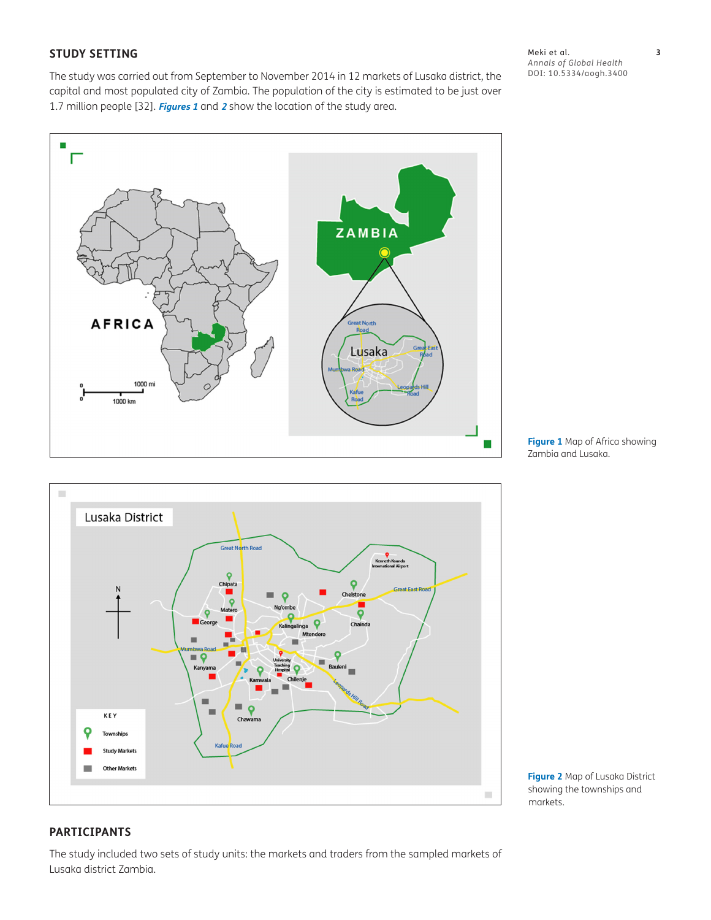# **STUDY SETTING**

The study was carried out from September to November 2014 in 12 markets of Lusaka district, the capital and most populated city of Zambia. The population of the city is estimated to be just over 1.7 million people [[32](#page-13-0)]. **[Figures 1](#page-2-0)** and **[2](#page-2-1)** show the location of the study area.

Meki et al. **3** *Annals of Global Health* DOI: [10.5334/aogh.3400](https://doi.org/10.5334/aogh.3400)



<span id="page-2-0"></span>**Figure 1** Map of Africa showing Zambia and Lusaka.



<span id="page-2-1"></span>**Figure 2** Map of Lusaka District showing the townships and markets.

# **PARTICIPANTS**

The study included two sets of study units: the markets and traders from the sampled markets of Lusaka district Zambia.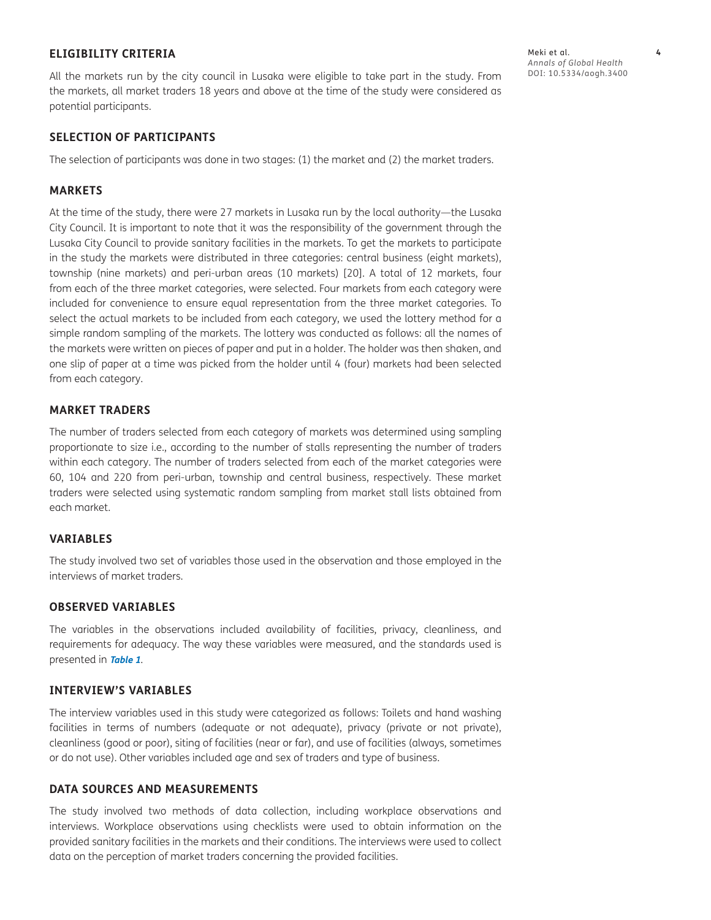# **ELIGIBILITY CRITERIA**

All the markets run by the city council in Lusaka were eligible to take part in the study. From the markets, all market traders 18 years and above at the time of the study were considered as potential participants.

#### **SELECTION OF PARTICIPANTS**

The selection of participants was done in two stages: (1) the market and (2) the market traders.

#### **MARKETS**

At the time of the study, there were 27 markets in Lusaka run by the local authority—the Lusaka City Council. It is important to note that it was the responsibility of the government through the Lusaka City Council to provide sanitary facilities in the markets. To get the markets to participate in the study the markets were distributed in three categories: central business (eight markets), township (nine markets) and peri-urban areas (10 markets) [[20](#page-13-0)]. A total of 12 markets, four from each of the three market categories, were selected. Four markets from each category were included for convenience to ensure equal representation from the three market categories. To select the actual markets to be included from each category, we used the lottery method for a simple random sampling of the markets. The lottery was conducted as follows: all the names of the markets were written on pieces of paper and put in a holder. The holder was then shaken, and one slip of paper at a time was picked from the holder until 4 (four) markets had been selected from each category.

#### **MARKET TRADERS**

The number of traders selected from each category of markets was determined using sampling proportionate to size i.e., according to the number of stalls representing the number of traders within each category. The number of traders selected from each of the market categories were 60, 104 and 220 from peri-urban, township and central business, respectively. These market traders were selected using systematic random sampling from market stall lists obtained from each market.

#### **VARIABLES**

The study involved two set of variables those used in the observation and those employed in the interviews of market traders.

#### **OBSERVED VARIABLES**

The variables in the observations included availability of facilities, privacy, cleanliness, and requirements for adequacy. The way these variables were measured, and the standards used is presented in **[Table 1](#page-4-0)**.

#### **INTERVIEW'S VARIABLES**

The interview variables used in this study were categorized as follows: Toilets and hand washing facilities in terms of numbers (adequate or not adequate), privacy (private or not private), cleanliness (good or poor), siting of facilities (near or far), and use of facilities (always, sometimes or do not use). Other variables included age and sex of traders and type of business.

#### **DATA SOURCES AND MEASUREMENTS**

The study involved two methods of data collection, including workplace observations and interviews. Workplace observations using checklists were used to obtain information on the provided sanitary facilities in the markets and their conditions. The interviews were used to collect data on the perception of market traders concerning the provided facilities.

Meki et al. **4** *Annals of Global Health* DOI: [10.5334/aogh.3400](https://doi.org/10.5334/aogh.3400)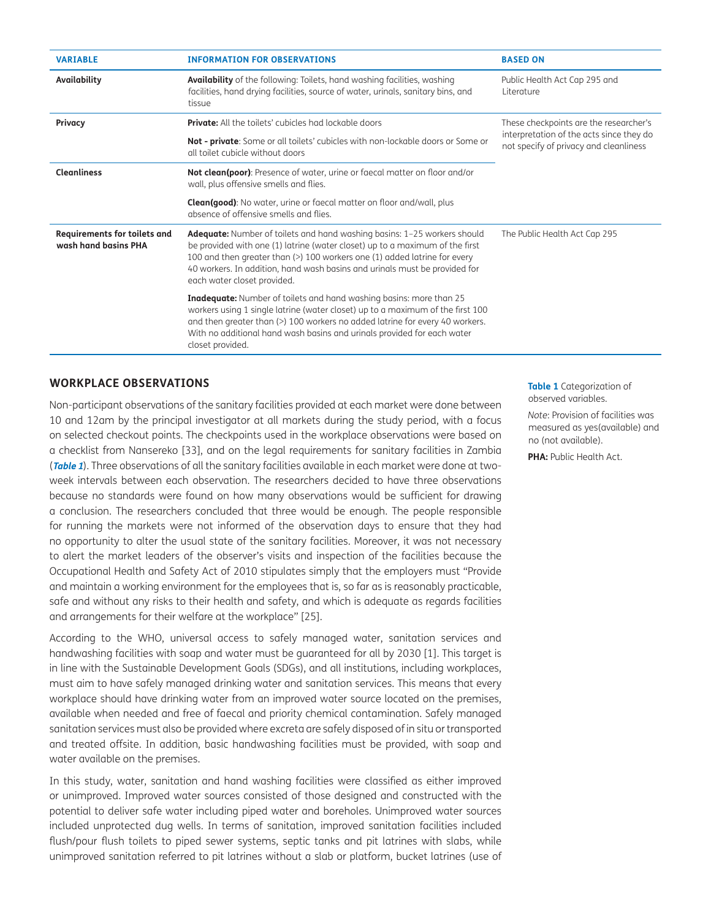| <b>VARIABLE</b>                                             | <b>INFORMATION FOR OBSERVATIONS</b>                                                                                                                                                                                                                                                                                                                       | <b>BASED ON</b>                                                                    |  |  |
|-------------------------------------------------------------|-----------------------------------------------------------------------------------------------------------------------------------------------------------------------------------------------------------------------------------------------------------------------------------------------------------------------------------------------------------|------------------------------------------------------------------------------------|--|--|
| Availability                                                | <b>Availability</b> of the following: Toilets, hand washing facilities, washing<br>facilities, hand drying facilities, source of water, urinals, sanitary bins, and<br>tissue                                                                                                                                                                             | Public Health Act Cap 295 and<br>Literature                                        |  |  |
| Privacy                                                     | <b>Private:</b> All the toilets' cubicles had lockable doors                                                                                                                                                                                                                                                                                              | These checkpoints are the researcher's                                             |  |  |
|                                                             | Not - private: Some or all toilets' cubicles with non-lockable doors or Some or<br>all toilet cubicle without doors                                                                                                                                                                                                                                       | interpretation of the acts since they do<br>not specify of privacy and cleanliness |  |  |
| <b>Cleanliness</b>                                          | Not clean(poor): Presence of water, urine or faecal matter on floor and/or<br>wall, plus offensive smells and flies.                                                                                                                                                                                                                                      |                                                                                    |  |  |
|                                                             | <b>Clean(good):</b> No water, urine or faecal matter on floor and/wall, plus<br>absence of offensive smells and flies.                                                                                                                                                                                                                                    |                                                                                    |  |  |
| <b>Requirements for toilets and</b><br>wash hand basins PHA | <b>Adequate:</b> Number of toilets and hand washing basins: 1-25 workers should<br>be provided with one (1) latrine (water closet) up to a maximum of the first<br>100 and then greater than (>) 100 workers one (1) added latrine for every<br>40 workers. In addition, hand wash basins and urinals must be provided for<br>each water closet provided. | The Public Health Act Cap 295                                                      |  |  |
|                                                             | <b>Inadequate:</b> Number of toilets and hand washing basins: more than 25<br>workers using 1 single latrine (water closet) up to a maximum of the first 100<br>and then greater than (>) 100 workers no added latrine for every 40 workers.<br>With no additional hand wash basins and urinals provided for each water<br>closet provided.               |                                                                                    |  |  |

# **WORKPLACE OBSERVATIONS**

Non-participant observations of the sanitary facilities provided at each market were done between 10 and 12am by the principal investigator at all markets during the study period, with a focus on selected checkout points. The checkpoints used in the workplace observations were based on a checklist from Nansereko [\[33\]](#page-13-0), and on the legal requirements for sanitary facilities in Zambia (**[Table 1](#page-4-0)**). Three observations of all the sanitary facilities available in each market were done at twoweek intervals between each observation. The researchers decided to have three observations because no standards were found on how many observations would be sufficient for drawing a conclusion. The researchers concluded that three would be enough. The people responsible for running the markets were not informed of the observation days to ensure that they had no opportunity to alter the usual state of the sanitary facilities. Moreover, it was not necessary to alert the market leaders of the observer's visits and inspection of the facilities because the Occupational Health and Safety Act of 2010 stipulates simply that the employers must "Provide and maintain a working environment for the employees that is, so far as is reasonably practicable, safe and without any risks to their health and safety, and which is adequate as regards facilities and arrangements for their welfare at the workplace" [\[25\]](#page-12-0).

According to the WHO, universal access to safely managed water, sanitation services and handwashing facilities with soap and water must be guaranteed for all by 2030 [\[1](#page-11-1)]. This target is in line with the Sustainable Development Goals (SDGs), and all institutions, including workplaces, must aim to have safely managed drinking water and sanitation services. This means that every workplace should have drinking water from an improved water source located on the premises, available when needed and free of faecal and priority chemical contamination. Safely managed sanitation services must also be provided where excreta are safely disposed of in situ or transported and treated offsite. In addition, basic handwashing facilities must be provided, with soap and water available on the premises.

In this study, water, sanitation and hand washing facilities were classified as either improved or unimproved. Improved water sources consisted of those designed and constructed with the potential to deliver safe water including piped water and boreholes. Unimproved water sources included unprotected dug wells. In terms of sanitation, improved sanitation facilities included flush/pour flush toilets to piped sewer systems, septic tanks and pit latrines with slabs, while unimproved sanitation referred to pit latrines without a slab or platform, bucket latrines (use of <span id="page-4-0"></span>**Table 1** Categorization of observed variables.

*Note*: Provision of facilities was measured as yes(available) and no (not available).

**PHA:** Public Health Act.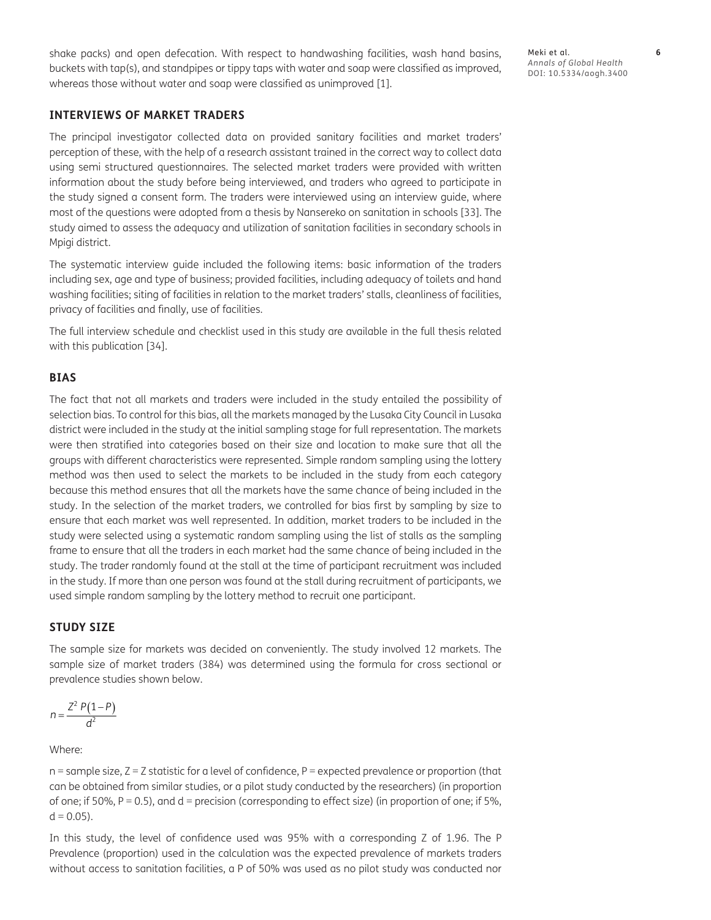shake packs) and open defecation. With respect to handwashing facilities, wash hand basins, buckets with tap(s), and standpipes or tippy taps with water and soap were classified as improved, whereas those without water and soap were classified as unimproved [\[1\]](#page-11-1).

Meki et al. **6** *Annals of Global Health* DOI: [10.5334/aogh.3400](https://doi.org/10.5334/aogh.3400)

# **INTERVIEWS OF MARKET TRADERS**

The principal investigator collected data on provided sanitary facilities and market traders' perception of these, with the help of a research assistant trained in the correct way to collect data using semi structured questionnaires. The selected market traders were provided with written information about the study before being interviewed, and traders who agreed to participate in the study signed a consent form. The traders were interviewed using an interview guide, where most of the questions were adopted from a thesis by Nansereko on sanitation in schools [[33](#page-13-0)]. The study aimed to assess the adequacy and utilization of sanitation facilities in secondary schools in Mpigi district.

The systematic interview guide included the following items: basic information of the traders including sex, age and type of business; provided facilities, including adequacy of toilets and hand washing facilities; siting of facilities in relation to the market traders' stalls, cleanliness of facilities, privacy of facilities and finally, use of facilities.

The full interview schedule and checklist used in this study are available in the full thesis related with this publication [[34](#page-13-0)].

#### **BIAS**

The fact that not all markets and traders were included in the study entailed the possibility of selection bias. To control for this bias, all the markets managed by the Lusaka City Council in Lusaka district were included in the study at the initial sampling stage for full representation. The markets were then stratified into categories based on their size and location to make sure that all the groups with different characteristics were represented. Simple random sampling using the lottery method was then used to select the markets to be included in the study from each category because this method ensures that all the markets have the same chance of being included in the study. In the selection of the market traders, we controlled for bias first by sampling by size to ensure that each market was well represented. In addition, market traders to be included in the study were selected using a systematic random sampling using the list of stalls as the sampling frame to ensure that all the traders in each market had the same chance of being included in the study. The trader randomly found at the stall at the time of participant recruitment was included in the study. If more than one person was found at the stall during recruitment of participants, we used simple random sampling by the lottery method to recruit one participant.

### **STUDY SIZE**

The sample size for markets was decided on conveniently. The study involved 12 markets. The sample size of market traders (384) was determined using the formula for cross sectional or prevalence studies shown below.

$$
n=\frac{Z^2 P(1-P)}{d^2}
$$

Where:

 $n =$  sample size,  $Z = Z$  statistic for a level of confidence,  $P =$  expected prevalence or proportion (that can be obtained from similar studies, or a pilot study conducted by the researchers) (in proportion of one; if 50%,  $P = 0.5$ ), and d = precision (corresponding to effect size) (in proportion of one; if 5%,  $d = 0.05$ ).

In this study, the level of confidence used was 95% with a corresponding Z of 1.96. The P Prevalence (proportion) used in the calculation was the expected prevalence of markets traders without access to sanitation facilities, a P of 50% was used as no pilot study was conducted nor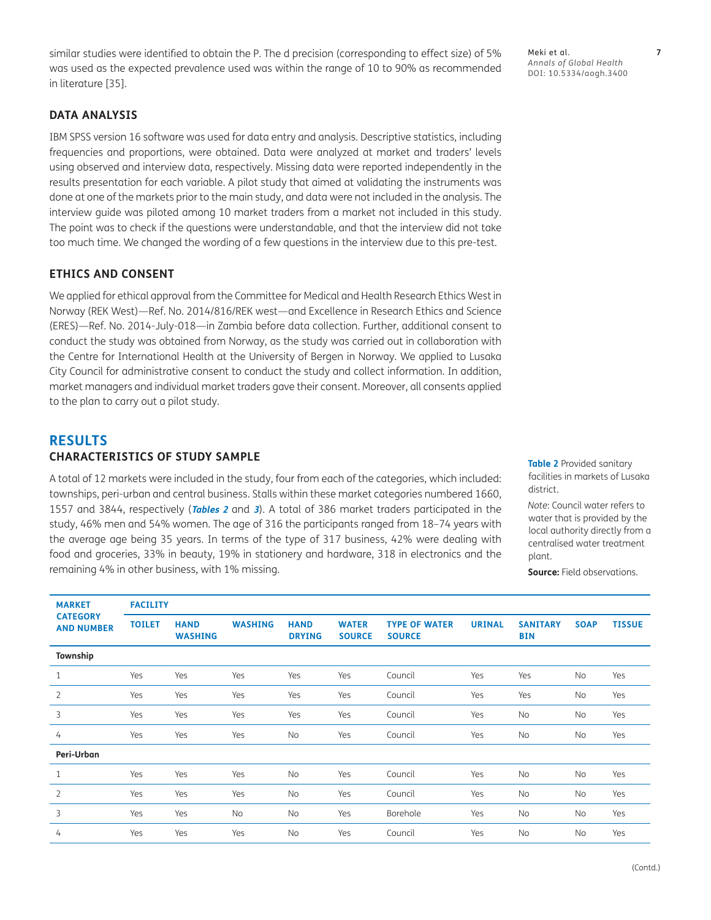similar studies were identified to obtain the P. The d precision (corresponding to effect size) of 5% was used as the expected prevalence used was within the range of 10 to 90% as recommended in literature [[35](#page-13-0)].

# **DATA ANALYSIS**

IBM SPSS version 16 software was used for data entry and analysis. Descriptive statistics, including frequencies and proportions, were obtained. Data were analyzed at market and traders' levels using observed and interview data, respectively. Missing data were reported independently in the results presentation for each variable. A pilot study that aimed at validating the instruments was done at one of the markets prior to the main study, and data were not included in the analysis. The interview guide was piloted among 10 market traders from a market not included in this study. The point was to check if the questions were understandable, and that the interview did not take too much time. We changed the wording of a few questions in the interview due to this pre-test.

# **ETHICS AND CONSENT**

We applied for ethical approval from the Committee for Medical and Health Research Ethics West in Norway (REK West)—Ref. No. 2014/816/REK west—and Excellence in Research Ethics and Science (ERES)—Ref. No. 2014-July-018—in Zambia before data collection. Further, additional consent to conduct the study was obtained from Norway, as the study was carried out in collaboration with the Centre for International Health at the University of Bergen in Norway. We applied to Lusaka City Council for administrative consent to conduct the study and collect information. In addition, market managers and individual market traders gave their consent. Moreover, all consents applied to the plan to carry out a pilot study.

# **RESULTS CHARACTERISTICS OF STUDY SAMPLE**

A total of 12 markets were included in the study, four from each of the categories, which included: townships, peri-urban and central business. Stalls within these market categories numbered 1660, 1557 and 3844, respectively (**[Tables 2](#page-6-0)** and **[3](#page-7-0)**). A total of 386 market traders participated in the study, 46% men and 54% women. The age of 316 the participants ranged from 18–74 years with the average age being 35 years. In terms of the type of 317 business, 42% were dealing with food and groceries, 33% in beauty, 19% in stationery and hardware, 318 in electronics and the remaining 4% in other business, with 1% missing.

<span id="page-6-0"></span>**Table 2** Provided sanitary facilities in markets of Lusaka district.

*Note*: Council water refers to water that is provided by the local authority directly from a centralised water treatment plant.

**Source:** Field observations.

| <b>MARKET</b>                        | <b>FACILITY</b> |                               |                |                              |                               |                                       |               |                               |             |               |  |
|--------------------------------------|-----------------|-------------------------------|----------------|------------------------------|-------------------------------|---------------------------------------|---------------|-------------------------------|-------------|---------------|--|
| <b>CATEGORY</b><br><b>AND NUMBER</b> | <b>TOILET</b>   | <b>HAND</b><br><b>WASHING</b> | <b>WASHING</b> | <b>HAND</b><br><b>DRYING</b> | <b>WATER</b><br><b>SOURCE</b> | <b>TYPE OF WATER</b><br><b>SOURCE</b> | <b>URINAL</b> | <b>SANITARY</b><br><b>BIN</b> | <b>SOAP</b> | <b>TISSUE</b> |  |
| Township                             |                 |                               |                |                              |                               |                                       |               |                               |             |               |  |
| 1                                    | Yes             | Yes                           | Yes            | Yes                          | Yes                           | Council                               | Yes           | Yes                           | No          | Yes           |  |
| $\overline{2}$                       | Yes             | Yes                           | Yes            | Yes                          | Yes                           | Council                               | Yes           | Yes                           | No          | Yes           |  |
| 3                                    | Yes             | Yes                           | Yes            | Yes                          | Yes                           | Council                               | Yes           | No                            | No          | Yes           |  |
| 4                                    | Yes             | Yes                           | Yes            | No                           | Yes                           | Council                               | Yes           | No                            | No          | Yes           |  |
| Peri-Urban                           |                 |                               |                |                              |                               |                                       |               |                               |             |               |  |
| $\mathbf{1}$                         | Yes             | Yes                           | Yes            | No                           | Yes                           | Council                               | Yes           | No                            | No          | Yes           |  |
| 2                                    | Yes             | Yes                           | Yes            | No                           | Yes                           | Council                               | Yes           | No                            | No          | Yes           |  |
| 3                                    | Yes             | Yes                           | No             | No                           | Yes                           | Borehole                              | Yes           | No                            | No          | Yes           |  |
| 4                                    | Yes             | Yes                           | Yes            | No                           | Yes                           | Council                               | Yes           | <b>No</b>                     | No          | Yes           |  |

*Annals of Global Health* DOI: [10.5334/aogh.3400](https://doi.org/10.5334/aogh.3400)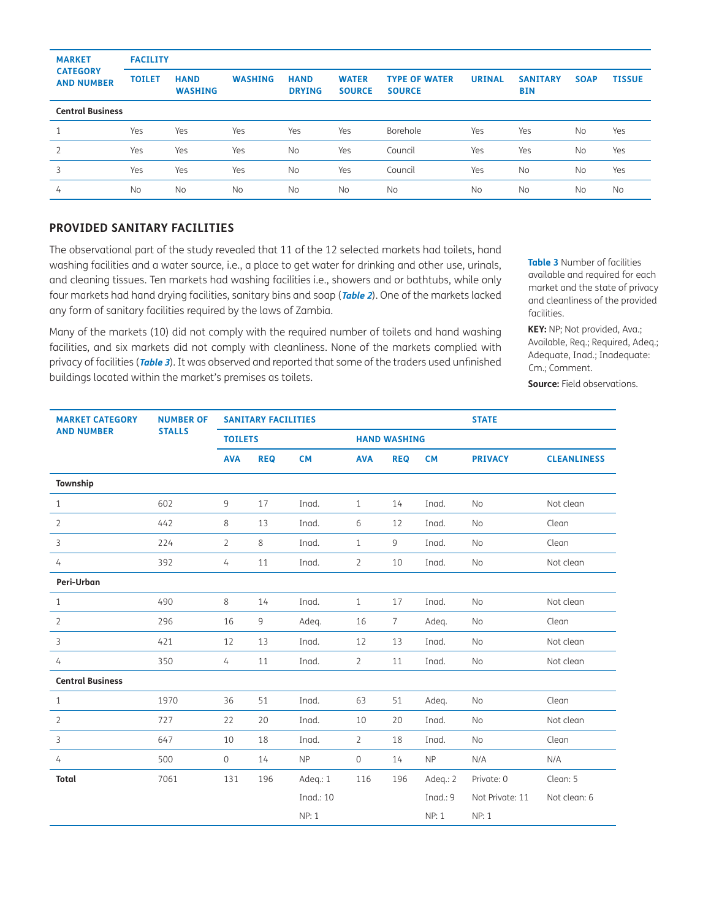| <b>MARKET</b><br><b>CATEGORY</b><br><b>AND NUMBER</b> | <b>FACILITY</b> |                               |                |                              |                               |                                       |               |                               |             |               |  |
|-------------------------------------------------------|-----------------|-------------------------------|----------------|------------------------------|-------------------------------|---------------------------------------|---------------|-------------------------------|-------------|---------------|--|
|                                                       | <b>TOILET</b>   | <b>HAND</b><br><b>WASHING</b> | <b>WASHING</b> | <b>HAND</b><br><b>DRYING</b> | <b>WATER</b><br><b>SOURCE</b> | <b>TYPE OF WATER</b><br><b>SOURCE</b> | <b>URINAL</b> | <b>SANITARY</b><br><b>BIN</b> | <b>SOAP</b> | <b>TISSUE</b> |  |
| <b>Central Business</b>                               |                 |                               |                |                              |                               |                                       |               |                               |             |               |  |
| 1                                                     | Yes             | Yes                           | Yes            | Yes                          | Yes                           | Borehole                              | Yes           | Yes                           | <b>No</b>   | Yes           |  |
| $\overline{2}$                                        | Yes             | Yes                           | Yes            | <b>No</b>                    | Yes                           | Council                               | Yes           | Yes                           | <b>No</b>   | Yes           |  |
| 3                                                     | Yes             | Yes                           | Yes            | <b>No</b>                    | Yes                           | Council                               | Yes           | <b>No</b>                     | <b>No</b>   | Yes           |  |
| 4                                                     | <b>No</b>       | No                            | <b>No</b>      | <b>No</b>                    | <b>No</b>                     | <b>No</b>                             | <b>No</b>     | <b>No</b>                     | <b>No</b>   | <b>No</b>     |  |

### **PROVIDED SANITARY FACILITIES**

The observational part of the study revealed that 11 of the 12 selected markets had toilets, hand washing facilities and a water source, i.e., a place to get water for drinking and other use, urinals, and cleaning tissues. Ten markets had washing facilities i.e., showers and or bathtubs, while only four markets had hand drying facilities, sanitary bins and soap (**[Table 2](#page-6-0)**). One of the markets lacked any form of sanitary facilities required by the laws of Zambia.

Many of the markets (10) did not comply with the required number of toilets and hand washing facilities, and six markets did not comply with cleanliness. None of the markets complied with privacy of facilities (**[Table 3](#page-7-0)**). It was observed and reported that some of the traders used unfinished buildings located within the market's premises as toilets.

<span id="page-7-0"></span>**Table 3** Number of facilities available and required for each market and the state of privacy and cleanliness of the provided facilities.

**KEY:** NP; Not provided, Ava.; Available, Req.; Required, Adeq.; Adequate, Inad.; Inadequate: Cm.; Comment.

**Source:** Field observations.

| <b>MARKET CATEGORY</b>  | <b>NUMBER OF</b> | <b>SANITARY FACILITIES</b> |            |           |                     |                 |            | <b>STATE</b>    |                    |  |
|-------------------------|------------------|----------------------------|------------|-----------|---------------------|-----------------|------------|-----------------|--------------------|--|
| <b>AND NUMBER</b>       | <b>STALLS</b>    | <b>TOILETS</b>             |            |           | <b>HAND WASHING</b> |                 |            |                 |                    |  |
|                         |                  | <b>AVA</b>                 | <b>REQ</b> | <b>CM</b> | <b>AVA</b>          | <b>REQ</b>      | <b>CM</b>  | <b>PRIVACY</b>  | <b>CLEANLINESS</b> |  |
| Township                |                  |                            |            |           |                     |                 |            |                 |                    |  |
| $\mathbf{1}$            | 602              | $\overline{9}$             | 17         | Inad.     | $\mathbf{1}$        | 14              | Inad.      | No              | Not clean          |  |
| $\overline{2}$          | 442              | 8                          | 13         | Inad.     | 6                   | 12              | Inad.      | No              | Clean              |  |
| 3                       | 224              | $\overline{2}$             | 8          | Inad.     | $\mathbf{1}$        | 9               | Inad.      | No              | Clean              |  |
| 4                       | 392              | $\overline{4}$             | 11         | Inad.     | $\overline{2}$      | 10              | Inad.      | No              | Not clean          |  |
| Peri-Urban              |                  |                            |            |           |                     |                 |            |                 |                    |  |
| $\mathbf{1}$            | 490              | 8                          | 14         | Inad.     | $\mathbf{1}$        | 17              | Inad.      | No              | Not clean          |  |
| 2                       | 296              | 16                         | 9          | Adeg.     | 16                  | $7\overline{ }$ | Adeq.      | No              | Clean              |  |
| 3                       | 421              | 12                         | 13         | Inad.     | 12                  | 13              | Inad.      | No              | Not clean          |  |
| 4                       | 350              | $\overline{4}$             | 11         | Inad.     | 2                   | 11              | Inad.      | No              | Not clean          |  |
| <b>Central Business</b> |                  |                            |            |           |                     |                 |            |                 |                    |  |
| $\mathbf{1}$            | 1970             | 36                         | 51         | Inad.     | 63                  | 51              | Adeq.      | No              | Clean              |  |
| $\overline{2}$          | 727              | 22                         | 20         | Inad.     | 10                  | 20              | Inad.      | No              | Not clean          |  |
| 3                       | 647              | 10                         | 18         | Inad.     | $\overline{2}$      | 18              | Inad.      | No              | Clean              |  |
| $\overline{4}$          | 500              | $\mathsf O$                | 14         | <b>NP</b> | $\mathsf{O}\xspace$ | 14              | <b>NP</b>  | N/A             | N/A                |  |
| <b>Total</b>            | 7061             | 131                        | 196        | Adeq.: 1  | 116                 | 196             | Adeq.: 2   | Private: 0      | Clean: 5           |  |
|                         |                  |                            |            | Inad.: 10 |                     |                 | Ingd.: $9$ | Not Private: 11 | Not clean: 6       |  |
|                         |                  |                            |            | NP: 1     |                     |                 | NP: 1      | <b>NP: 1</b>    |                    |  |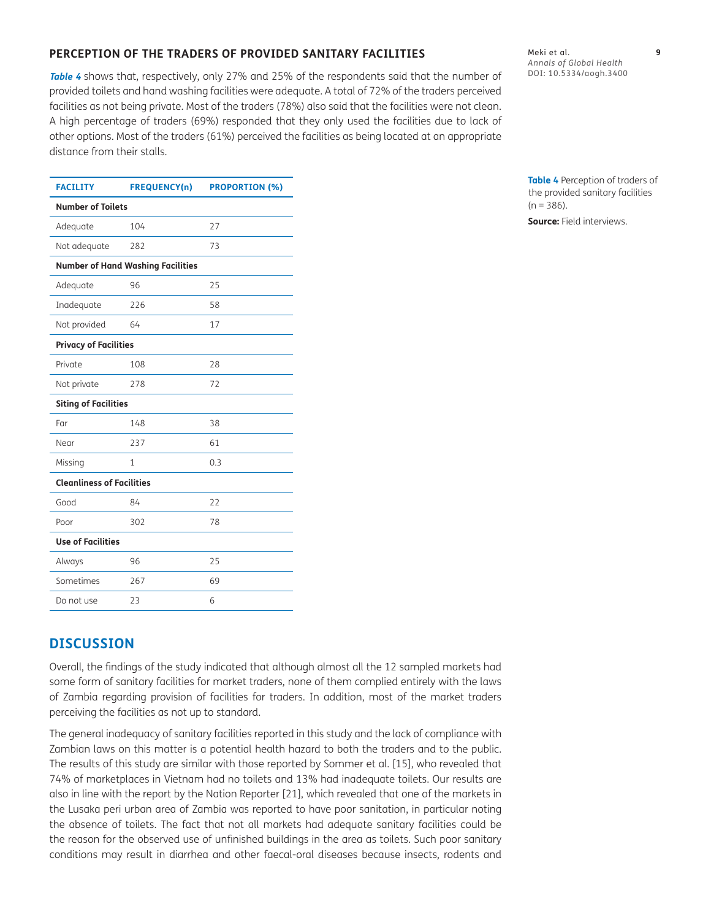# **PERCEPTION OF THE TRADERS OF PROVIDED SANITARY FACILITIES**

**[Table 4](#page-8-0)** shows that, respectively, only 27% and 25% of the respondents said that the number of provided toilets and hand washing facilities were adequate. A total of 72% of the traders perceived facilities as not being private. Most of the traders (78%) also said that the facilities were not clean. A high percentage of traders (69%) responded that they only used the facilities due to lack of other options. Most of the traders (61%) perceived the facilities as being located at an appropriate distance from their stalls.

Meki et al. **9** *Annals of Global Health* DOI: [10.5334/aogh.3400](https://doi.org/10.5334/aogh.3400)

| <b>FACILITY</b>                  | <b>FREQUENCY(n)</b>                      | <b>PROPORTION (%)</b> |  |  |  |  |
|----------------------------------|------------------------------------------|-----------------------|--|--|--|--|
| <b>Number of Toilets</b>         |                                          |                       |  |  |  |  |
| Adequate                         | 104                                      | 27                    |  |  |  |  |
| Not adequate                     | 282                                      | 73                    |  |  |  |  |
|                                  | <b>Number of Hand Washing Facilities</b> |                       |  |  |  |  |
| Adequate                         | 96                                       | 25                    |  |  |  |  |
| Inadequate                       | 226                                      | 58                    |  |  |  |  |
| Not provided                     | 64                                       | 17                    |  |  |  |  |
| <b>Privacy of Facilities</b>     |                                          |                       |  |  |  |  |
| Private                          | 108                                      | 28                    |  |  |  |  |
| Not private                      | 278                                      | 72                    |  |  |  |  |
| <b>Siting of Facilities</b>      |                                          |                       |  |  |  |  |
| Far                              | 148                                      | 38                    |  |  |  |  |
| Near                             | 237                                      | 61                    |  |  |  |  |
| Missing                          | $\mathbf{1}$                             | 0.3                   |  |  |  |  |
| <b>Cleanliness of Facilities</b> |                                          |                       |  |  |  |  |
| Good                             | 84                                       | 22                    |  |  |  |  |
| Poor                             | 302                                      | 78                    |  |  |  |  |
| <b>Use of Facilities</b>         |                                          |                       |  |  |  |  |
| Always                           | 96                                       | 25                    |  |  |  |  |
| Sometimes                        | 267                                      | 69                    |  |  |  |  |
| Do not use                       | 23                                       | 6                     |  |  |  |  |

# **DISCUSSION**

Overall, the findings of the study indicated that although almost all the 12 sampled markets had some form of sanitary facilities for market traders, none of them complied entirely with the laws of Zambia regarding provision of facilities for traders. In addition, most of the market traders perceiving the facilities as not up to standard.

The general inadequacy of sanitary facilities reported in this study and the lack of compliance with Zambian laws on this matter is a potential health hazard to both the traders and to the public. The results of this study are similar with those reported by Sommer et al. [[15](#page-12-0)], who revealed that 74% of marketplaces in Vietnam had no toilets and 13% had inadequate toilets. Our results are also in line with the report by the Nation Reporter [\[21](#page-12-0)], which revealed that one of the markets in the Lusaka peri urban area of Zambia was reported to have poor sanitation, in particular noting the absence of toilets. The fact that not all markets had adequate sanitary facilities could be the reason for the observed use of unfinished buildings in the area as toilets. Such poor sanitary conditions may result in diarrhea and other faecal-oral diseases because insects, rodents and

<span id="page-8-0"></span>**Table 4** Perception of traders of the provided sanitary facilities  $(n = 386)$ .

**Source:** Field interviews.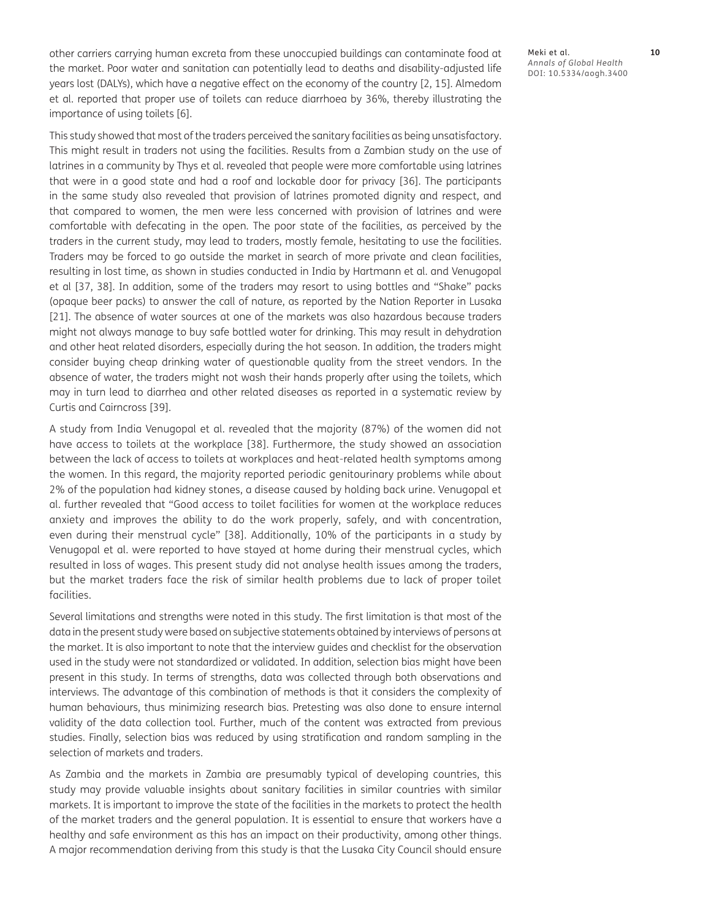other carriers carrying human excreta from these unoccupied buildings can contaminate food at the market. Poor water and sanitation can potentially lead to deaths and disability-adjusted life years lost (DALYs), which have a negative effect on the economy of the country [[2](#page-11-1), [15\]](#page-12-0). Almedom et al. reported that proper use of toilets can reduce diarrhoea by 36%, thereby illustrating the importance of using toilets [\[6](#page-11-1)].

This study showed that most of the traders perceived the sanitary facilities as being unsatisfactory. This might result in traders not using the facilities. Results from a Zambian study on the use of latrines in a community by Thys et al. revealed that people were more comfortable using latrines that were in a good state and had a roof and lockable door for privacy [\[36](#page-13-0)]. The participants in the same study also revealed that provision of latrines promoted dignity and respect, and that compared to women, the men were less concerned with provision of latrines and were comfortable with defecating in the open. The poor state of the facilities, as perceived by the traders in the current study, may lead to traders, mostly female, hesitating to use the facilities. Traders may be forced to go outside the market in search of more private and clean facilities, resulting in lost time, as shown in studies conducted in India by Hartmann et al. and Venugopal et al [[37](#page-13-0), [38\]](#page-13-0). In addition, some of the traders may resort to using bottles and "Shake" packs (opaque beer packs) to answer the call of nature, as reported by the Nation Reporter in Lusaka [[21\]](#page-12-0). The absence of water sources at one of the markets was also hazardous because traders might not always manage to buy safe bottled water for drinking. This may result in dehydration and other heat related disorders, especially during the hot season. In addition, the traders might consider buying cheap drinking water of questionable quality from the street vendors. In the absence of water, the traders might not wash their hands properly after using the toilets, which may in turn lead to diarrhea and other related diseases as reported in a systematic review by Curtis and Cairncross [[39](#page-13-0)].

A study from India Venugopal et al. revealed that the majority (87%) of the women did not have access to toilets at the workplace [[38](#page-13-0)]. Furthermore, the study showed an association between the lack of access to toilets at workplaces and heat-related health symptoms among the women. In this regard, the majority reported periodic genitourinary problems while about 2% of the population had kidney stones, a disease caused by holding back urine. Venugopal et al. further revealed that "Good access to toilet facilities for women at the workplace reduces anxiety and improves the ability to do the work properly, safely, and with concentration, even during their menstrual cycle" [[38](#page-13-0)]. Additionally, 10% of the participants in a study by Venugopal et al. were reported to have stayed at home during their menstrual cycles, which resulted in loss of wages. This present study did not analyse health issues among the traders, but the market traders face the risk of similar health problems due to lack of proper toilet facilities.

Several limitations and strengths were noted in this study. The first limitation is that most of the data in the present study were based on subjective statements obtained by interviews of persons at the market. It is also important to note that the interview guides and checklist for the observation used in the study were not standardized or validated. In addition, selection bias might have been present in this study. In terms of strengths, data was collected through both observations and interviews. The advantage of this combination of methods is that it considers the complexity of human behaviours, thus minimizing research bias. Pretesting was also done to ensure internal validity of the data collection tool. Further, much of the content was extracted from previous studies. Finally, selection bias was reduced by using stratification and random sampling in the selection of markets and traders.

As Zambia and the markets in Zambia are presumably typical of developing countries, this study may provide valuable insights about sanitary facilities in similar countries with similar markets. It is important to improve the state of the facilities in the markets to protect the health of the market traders and the general population. It is essential to ensure that workers have a healthy and safe environment as this has an impact on their productivity, among other things. A major recommendation deriving from this study is that the Lusaka City Council should ensure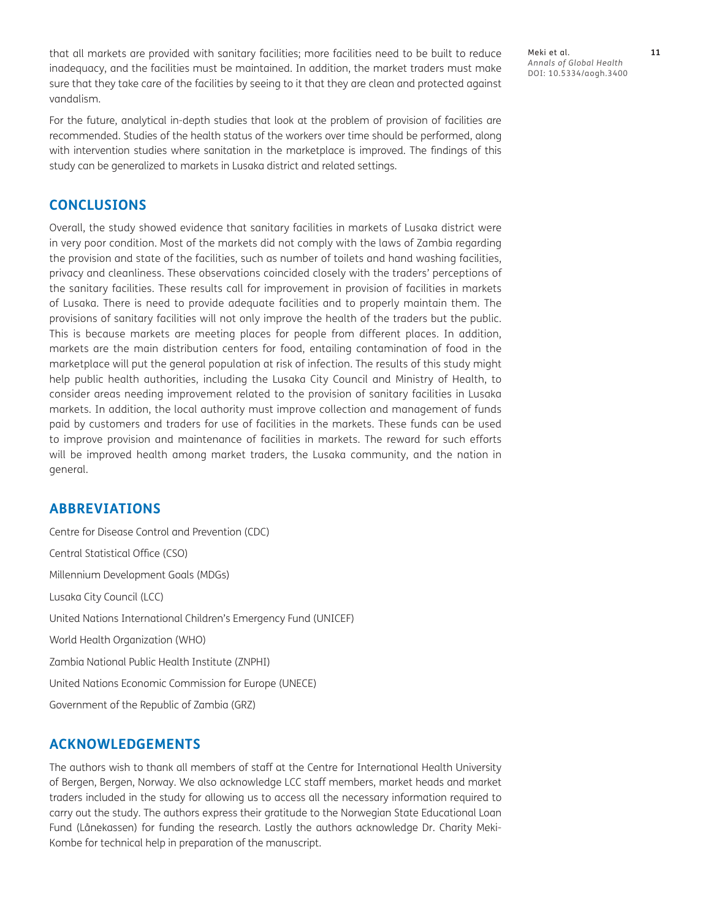that all markets are provided with sanitary facilities; more facilities need to be built to reduce inadequacy, and the facilities must be maintained. In addition, the market traders must make sure that they take care of the facilities by seeing to it that they are clean and protected against vandalism.

For the future, analytical in-depth studies that look at the problem of provision of facilities are recommended. Studies of the health status of the workers over time should be performed, along with intervention studies where sanitation in the marketplace is improved. The findings of this study can be generalized to markets in Lusaka district and related settings.

# **CONCLUSIONS**

Overall, the study showed evidence that sanitary facilities in markets of Lusaka district were in very poor condition. Most of the markets did not comply with the laws of Zambia regarding the provision and state of the facilities, such as number of toilets and hand washing facilities, privacy and cleanliness. These observations coincided closely with the traders' perceptions of the sanitary facilities. These results call for improvement in provision of facilities in markets of Lusaka. There is need to provide adequate facilities and to properly maintain them. The provisions of sanitary facilities will not only improve the health of the traders but the public. This is because markets are meeting places for people from different places. In addition, markets are the main distribution centers for food, entailing contamination of food in the marketplace will put the general population at risk of infection. The results of this study might help public health authorities, including the Lusaka City Council and Ministry of Health, to consider areas needing improvement related to the provision of sanitary facilities in Lusaka markets. In addition, the local authority must improve collection and management of funds paid by customers and traders for use of facilities in the markets. These funds can be used to improve provision and maintenance of facilities in markets. The reward for such efforts will be improved health among market traders, the Lusaka community, and the nation in general.

# **ABBREVIATIONS**

Centre for Disease Control and Prevention (CDC) Central Statistical Office (CSO) Millennium Development Goals (MDGs) Lusaka City Council (LCC) United Nations International Children's Emergency Fund (UNICEF) World Health Organization (WHO) Zambia National Public Health Institute (ZNPHI) United Nations Economic Commission for Europe (UNECE) Government of the Republic of Zambia (GRZ)

# **ACKNOWLEDGEMENTS**

The authors wish to thank all members of staff at the Centre for International Health University of Bergen, Bergen, Norway. We also acknowledge LCC staff members, market heads and market traders included in the study for allowing us to access all the necessary information required to carry out the study. The authors express their gratitude to the Norwegian State Educational Loan Fund (Lånekassen) for funding the research. Lastly the authors acknowledge Dr. Charity Meki-Kombe for technical help in preparation of the manuscript.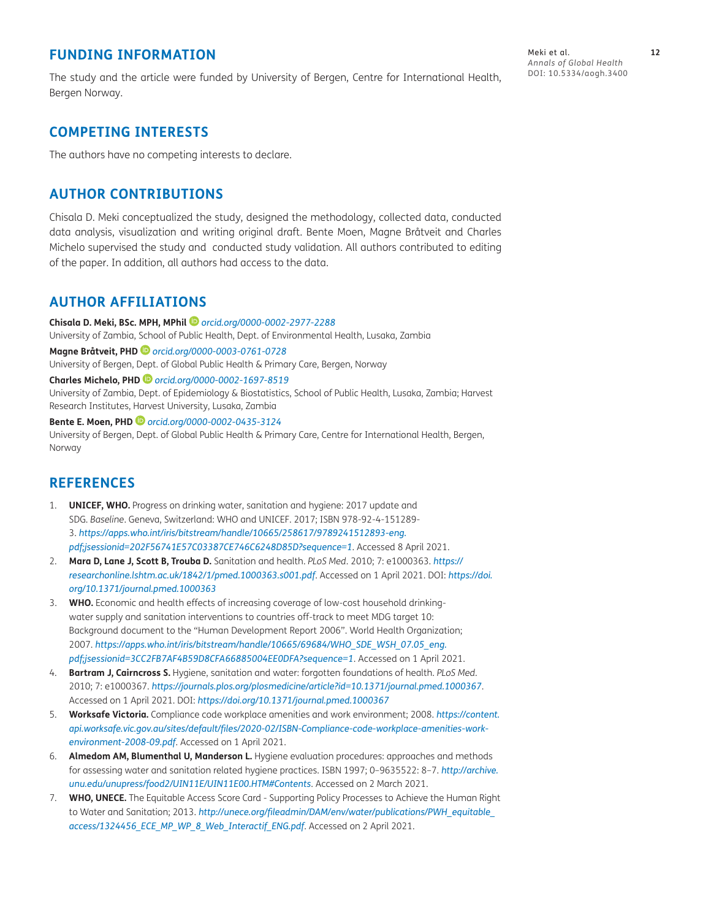# <span id="page-11-1"></span>**FUNDING INFORMATION**

The study and the article were funded by University of Bergen, Centre for International Health, Bergen Norway.

# **COMPETING INTERESTS**

The authors have no competing interests to declare.

# **AUTHOR CONTRIBUTIONS**

Chisala D. Meki conceptualized the study, designed the methodology, collected data, conducted data analysis, visualization and writing original draft. Bente Moen, Magne Bråtveit and Charles Michelo supervised the study and conducted study validation. All authors contributed to editing of the paper. In addition, all authors had access to the data.

# <span id="page-11-0"></span>**AUTHOR AFFILIATIONS**

**Chisala D. Meki, BSc. MPH, MPhil** *[orcid.org/0000-0002-2977-2288](https://orcid.org/0000-0002-2977-2288)* University of Zambia, School of Public Health, Dept. of Environmental Health, Lusaka, Zambia **Magne Bråtveit, PHD** *[orcid.org/0000-0003-0761-0728](https://orcid.org/0000-0003-0761-0728)* University of Bergen, Dept. of Global Public Health & Primary Care, Bergen, Norway

**Charles Michelo, PHD** *[orcid.org/0000-0002-1697-8519](https://orcid.org/0000-0002-1697-8519)* University of Zambia, Dept. of Epidemiology & Biostatistics, School of Public Health, Lusaka, Zambia; Harvest Research Institutes, Harvest University, Lusaka, Zambia

**Bente E. Moen, PHD** *[orcid.org/0000-0002-0435-3124](https://orcid.org/0000-0002-0435-3124)* University of Bergen, Dept. of Global Public Health & Primary Care, Centre for International Health, Bergen, Norway

# **REFERENCES**

- 1. **UNICEF, WHO.** Progress on drinking water, sanitation and hygiene: 2017 update and SDG. *Baseline*. Geneva, Switzerland: WHO and UNICEF. 2017; ISBN 978-92-4-151289- 3. *[https://apps.who.int/iris/bitstream/handle/10665/258617/9789241512893-eng.](https://apps.who.int/iris/bitstream/handle/10665/258617/9789241512893-eng.pdf;jsessionid=202F56741E57C03387CE746C6248D85D?sequence=1) [pdf;jsessionid=202F56741E57C03387CE746C6248D85D?sequence=1](https://apps.who.int/iris/bitstream/handle/10665/258617/9789241512893-eng.pdf;jsessionid=202F56741E57C03387CE746C6248D85D?sequence=1)*. Accessed 8 April 2021.
- 2. **Mara D, Lane J, Scott B, Trouba D.** Sanitation and health. *PLoS Med*. 2010; 7: e1000363. *[https://](https://researchonline.lshtm.ac.uk/1842/1/pmed.1000363.s001.pdf) [researchonline.lshtm.ac.uk/1842/1/pmed.1000363.s001.pdf](https://researchonline.lshtm.ac.uk/1842/1/pmed.1000363.s001.pdf)*. Accessed on 1 April 2021. DOI: *[https://doi.](https://doi.org/10.1371/journal.pmed.1000363) [org/10.1371/journal.pmed.1000363](https://doi.org/10.1371/journal.pmed.1000363)*
- 3. **WHO.** Economic and health effects of increasing coverage of low-cost household drinkingwater supply and sanitation interventions to countries off-track to meet MDG target 10: Background document to the "Human Development Report 2006". World Health Organization; 2007. *[https://apps.who.int/iris/bitstream/handle/10665/69684/WHO\\_SDE\\_WSH\\_07.05\\_eng.](https://apps.who.int/iris/bitstream/handle/10665/69684/WHO_SDE_WSH_07.05_eng.pdf;jsessionid=3CC2FB7AF4B59D8CFA66885004EE0DFA?sequence=1) [pdf;jsessionid=3CC2FB7AF4B59D8CFA66885004EE0DFA?sequence=1](https://apps.who.int/iris/bitstream/handle/10665/69684/WHO_SDE_WSH_07.05_eng.pdf;jsessionid=3CC2FB7AF4B59D8CFA66885004EE0DFA?sequence=1)*. Accessed on 1 April 2021.
- 4. **Bartram J, Cairncross S.** Hygiene, sanitation and water: forgotten foundations of health. *PLoS Med.* 2010; 7: e1000367. *<https://journals.plos.org/plosmedicine/article?id=10.1371/journal.pmed.1000367>*. Accessed on 1 April 2021. DOI: *<https://doi.org/10.1371/journal.pmed.1000367>*
- 5. **Worksafe Victoria.** Compliance code workplace amenities and work environment; 2008. *[https://content.](https://content.api.worksafe.vic.gov.au/sites/default/files/2020-02/ISBN-Compliance-code-workplace-amenities-work-environment-2008-09.pdf) [api.worksafe.vic.gov.au/sites/default/files/2020-02/ISBN-Compliance-code-workplace-amenities-work](https://content.api.worksafe.vic.gov.au/sites/default/files/2020-02/ISBN-Compliance-code-workplace-amenities-work-environment-2008-09.pdf)[environment-2008-09.pdf](https://content.api.worksafe.vic.gov.au/sites/default/files/2020-02/ISBN-Compliance-code-workplace-amenities-work-environment-2008-09.pdf)*. Accessed on 1 April 2021.
- 6. **Almedom AM, Blumenthal U, Manderson L.** Hygiene evaluation procedures: approaches and methods for assessing water and sanitation related hygiene practices. ISBN 1997; 0–9635522: 8–7. *[http://archive.](http://archive.unu.edu/unupress/food2/UIN11E/UIN11E00.HTM#Contents) [unu.edu/unupress/food2/UIN11E/UIN11E00.HTM#Contents](http://archive.unu.edu/unupress/food2/UIN11E/UIN11E00.HTM#Contents)*. Accessed on 2 March 2021.
- 7. **WHO, UNECE.** The Equitable Access Score Card Supporting Policy Processes to Achieve the Human Right to Water and Sanitation; 2013. *[http://unece.org/fileadmin/DAM/env/water/publications/PWH\\_equitable\\_](http://unece.org/fileadmin/DAM/env/water/publications/PWH_equitable_access/1324456_ECE_MP_WP_8_Web_Interactif_ENG.pdf) [access/1324456\\_ECE\\_MP\\_WP\\_8\\_Web\\_Interactif\\_ENG.pdf](http://unece.org/fileadmin/DAM/env/water/publications/PWH_equitable_access/1324456_ECE_MP_WP_8_Web_Interactif_ENG.pdf)*. Accessed on 2 April 2021.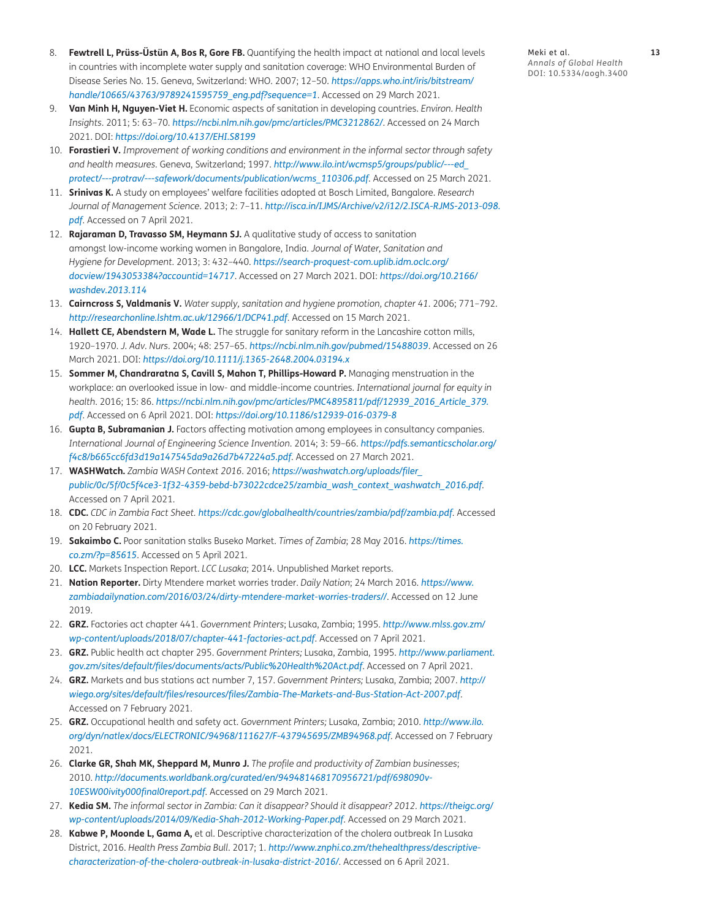- <span id="page-12-0"></span>8. **Fewtrell L, Prüss-Üstün A, Bos R, Gore FB.** Quantifying the health impact at national and local levels in countries with incomplete water supply and sanitation coverage: WHO Environmental Burden of Disease Series No. 15. Geneva, Switzerland: WHO. 2007; 12–50. *[https://apps.who.int/iris/bitstream/](https://apps.who.int/iris/bitstream/handle/10665/43763/9789241595759_eng.pdf?sequence=1) [handle/10665/43763/9789241595759\\_eng.pdf?sequence=1](https://apps.who.int/iris/bitstream/handle/10665/43763/9789241595759_eng.pdf?sequence=1)*. Accessed on 29 March 2021.
- 9. **Van Minh H, Nguyen-Viet H.** Economic aspects of sanitation in developing countries. *Environ. Health Insights*. 2011; 5: 63–70. *<https://ncbi.nlm.nih.gov/pmc/articles/PMC3212862/>*. Accessed on 24 March 2021. DOI: *<https://doi.org/10.4137/EHI.S8199>*
- 10. **Forastieri V.** *Improvement of working conditions and environment in the informal sector through safety and health measures.* Geneva, Switzerland; 1997. *[http://www.ilo.int/wcmsp5/groups/public/---ed\\_](http://www.ilo.int/wcmsp5/groups/public/---ed_protect/---protrav/---safework/documents/publication/wcms_110306.pdf) [protect/---protrav/---safework/documents/publication/wcms\\_110306.pdf](http://www.ilo.int/wcmsp5/groups/public/---ed_protect/---protrav/---safework/documents/publication/wcms_110306.pdf)*. Accessed on 25 March 2021.
- 11. **Srinivas K.** A study on employees' welfare facilities adopted at Bosch Limited, Bangalore. *Research Journal of Management Science*. 2013; 2: 7–11. *[http://isca.in/IJMS/Archive/v2/i12/2.ISCA-RJMS-2013-098.](http://isca.in/IJMS/Archive/v2/i12/2.ISCA-RJMS-2013-098.pdf) [pdf](http://isca.in/IJMS/Archive/v2/i12/2.ISCA-RJMS-2013-098.pdf)*. Accessed on 7 April 2021.
- 12. **Rajaraman D, Travasso SM, Heymann SJ.** A qualitative study of access to sanitation amongst low-income working women in Bangalore, India. *Journal of Water, Sanitation and Hygiene for Development*. 2013; 3: 432–440. *[https://search-proquest-com.uplib.idm.oclc.org/](https://search-proquest-com.uplib.idm.oclc.org/docview/1943053384?accountid=14717) [docview/1943053384?accountid=14717](https://search-proquest-com.uplib.idm.oclc.org/docview/1943053384?accountid=14717)*. Accessed on 27 March 2021. DOI: *[https://doi.org/10.2166/](https://doi.org/10.2166/washdev.2013.114) [washdev.2013.114](https://doi.org/10.2166/washdev.2013.114)*
- 13. **Cairncross S, Valdmanis V.** *Water supply, sanitation and hygiene promotion, chapter 41*. 2006; 771–792. *<http://researchonline.lshtm.ac.uk/12966/1/DCP41.pdf>*. Accessed on 15 March 2021.
- 14. **Hallett CE, Abendstern M, Wade L.** The struggle for sanitary reform in the Lancashire cotton mills, 1920–1970. *J. Adv. Nurs*. 2004; 48: 257–65. *<https://ncbi.nlm.nih.gov/pubmed/15488039>*. Accessed on 26 March 2021. DOI: *<https://doi.org/10.1111/j.1365-2648.2004.03194.x>*
- 15. **Sommer M, Chandraratna S, Cavill S, Mahon T, Phillips-Howard P.** Managing menstruation in the workplace: an overlooked issue in low- and middle-income countries. *International journal for equity in health*. 2016; 15: 86. *[https://ncbi.nlm.nih.gov/pmc/articles/PMC4895811/pdf/12939\\_2016\\_Article\\_379](https://ncbi.nlm.nih.gov/pmc/articles/PMC4895811/pdf/12939_2016_Article_379). pdf*. Accessed on 6 April 2021. DOI: *<https://doi.org/10.1186/s12939-016-0379-8>*
- 16. **Gupta B, Subramanian J.** Factors affecting motivation among employees in consultancy companies. *International Journal of Engineering Science Invention*. 2014; 3: 59–66. *[https://pdfs.semanticscholar.org/](https://pdfs.semanticscholar.org/f4c8/b665cc6fd3d19a147545da9a26d7b47224a5.pdf) [f4c8/b665cc6fd3d19a147545da9a26d7b47224a5.pdf](https://pdfs.semanticscholar.org/f4c8/b665cc6fd3d19a147545da9a26d7b47224a5.pdf)*. Accessed on 27 March 2021.
- 17. **WASHWatch.** *Zambia WASH Context 2016*. 2016; *[https://washwatch.org/uploads/filer\\_](https://washwatch.org/uploads/filer_public/0c/5f/0c5f4ce3-1f32-4359-bebd-b73022cdce25/zambia_wash_context_washwatch_2016.pdf) [public/0c/5f/0c5f4ce3-1f32-4359-bebd-b73022cdce25/zambia\\_wash\\_context\\_washwatch\\_2016.pdf](https://washwatch.org/uploads/filer_public/0c/5f/0c5f4ce3-1f32-4359-bebd-b73022cdce25/zambia_wash_context_washwatch_2016.pdf)*. Accessed on 7 April 2021.
- 18. **CDC.** *CDC in Zambia Fact Sheet. <https://cdc.gov/globalhealth/countries/zambia/pdf/zambia.pdf>*. Accessed on 20 February 2021.
- 19. **Sakaimbo C.** Poor sanitation stalks Buseko Market. *Times of Zambia*; 28 May 2016. *[https://times.](https://times.co.zm/?p=85615) [co.zm/?p=85615](https://times.co.zm/?p=85615)*. Accessed on 5 April 2021.
- 20. **LCC.** Markets Inspection Report. *LCC Lusaka*; 2014. Unpublished Market reports.
- 21. **Nation Reporter.** Dirty Mtendere market worries trader. *Daily Nation*; 24 March 2016. *[https://www.](https://www.zambiadailynation.com/2016/03/24/dirty-mtendere-market-worries-traders//) [zambiadailynation.com/2016/03/24/dirty-mtendere-market-worries-traders//](https://www.zambiadailynation.com/2016/03/24/dirty-mtendere-market-worries-traders//)*. Accessed on 12 June 2019.
- 22. **GRZ.** Factories act chapter 441. *Government Printers*; Lusaka, Zambia; 1995. *[http://www.mlss.gov.zm/](http://www.mlss.gov.zm/wp-content/uploads/2018/07/chapter-441-factories-act.pdf) [wp-content/uploads/2018/07/chapter-441-factories-act.pdf](http://www.mlss.gov.zm/wp-content/uploads/2018/07/chapter-441-factories-act.pdf)*. Accessed on 7 April 2021.
- 23. **GRZ.** Public health act chapter 295. *Government Printers;* Lusaka, Zambia, 1995. *[http://www.parliament.](http://www.parliament.gov.zm/sites/default/files/documents/acts/Public%20Health%20Act.pdf) [gov.zm/sites/default/files/documents/acts/Public%20Health%20Act.pdf](http://www.parliament.gov.zm/sites/default/files/documents/acts/Public%20Health%20Act.pdf)*. Accessed on 7 April 2021.
- 24. **GRZ.** Markets and bus stations act number 7, 157. *Government Printers;* Lusaka, Zambia; 2007. *[http://](http://wiego.org/sites/default/files/resources/files/Zambia-The-Markets-and-Bus-Station-Act-2007.pdf) [wiego.org/sites/default/files/resources/files/Zambia-The-Markets-and-Bus-Station-Act-2007.pdf](http://wiego.org/sites/default/files/resources/files/Zambia-The-Markets-and-Bus-Station-Act-2007.pdf)*. Accessed on 7 February 2021.
- 25. **GRZ.** Occupational health and safety act. *Government Printers;* Lusaka, Zambia; 2010. *[http://www.ilo.](http://www.ilo.org/dyn/natlex/docs/ELECTRONIC/94968/111627/F-437945695/ZMB94968.pdf) [org/dyn/natlex/docs/ELECTRONIC/94968/111627/F-437945695/ZMB94968.pdf](http://www.ilo.org/dyn/natlex/docs/ELECTRONIC/94968/111627/F-437945695/ZMB94968.pdf)*. Accessed on 7 February 2021.
- 26. **Clarke GR, Shah MK, Sheppard M, Munro J.** *The profile and productivity of Zambian businesses*; 2010. *[http://documents.worldbank.org/curated/en/949481468170956721/pdf/698090v-](http://documents.worldbank.org/curated/en/949481468170956721/pdf/698090v-10ESW00ivity000final0report.pdf)[10ESW00ivity000final0report.pdf](http://documents.worldbank.org/curated/en/949481468170956721/pdf/698090v-10ESW00ivity000final0report.pdf)*. Accessed on 29 March 2021.
- 27. **Kedia SM.** *The informal sector in Zambia: Can it disappear? Should it disappear? 2012. [https://theigc.org/](https://theigc.org/wp-content/uploads/2014/09/Kedia-Shah-2012-Working-Paper.pdf) [wp-content/uploads/2014/09/Kedia-Shah-2012-Working-Paper.pdf](https://theigc.org/wp-content/uploads/2014/09/Kedia-Shah-2012-Working-Paper.pdf)*. Accessed on 29 March 2021.
- 28. **Kabwe P, Moonde L, Gama A,** et al. Descriptive characterization of the cholera outbreak In Lusaka District, 2016. *Health Press Zambia Bull*. 2017; 1. *[http://www.znphi.co.zm/thehealthpress/descriptive](http://www.znphi.co.zm/thehealthpress/descriptive-characterization-of-the-cholera-outbreak-in-lusaka-district-2016/)[characterization-of-the-cholera-outbreak-in-lusaka-district-2016/](http://www.znphi.co.zm/thehealthpress/descriptive-characterization-of-the-cholera-outbreak-in-lusaka-district-2016/)*. Accessed on 6 April 2021.

Meki et al. **13** *Annals of Global Health* DOI: [10.5334/aogh.3400](https://doi.org/10.5334/aogh.3400)